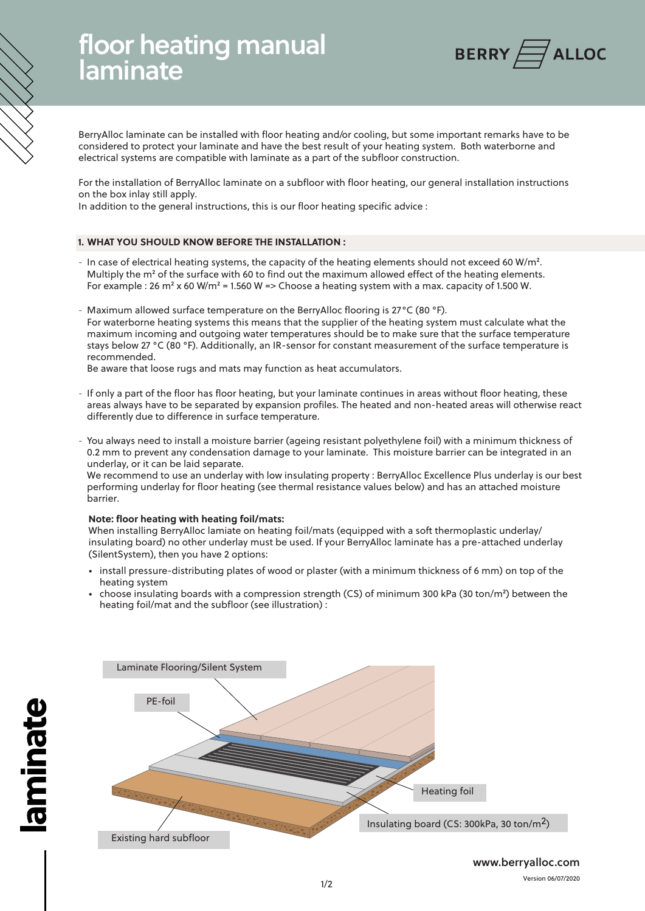# floor heating manual laminate



BerryAlloc laminate can be installed with floor heating and/or cooling, but some important remarks have to be considered to protect your laminate and have the best result of your heating system. Both waterborne and electrical systems are compatible with laminate as a part of the subfloor construction.

For the installation of BerryAlloc laminate on a subfloor with floor heating, our general installation instructions on the box inlay still apply.

In addition to the general instructions, this is our floor heating specific advice :

## **1. WHAT YOU SHOULD KNOW BEFORE THE INSTALLATION :**

- In case of electrical heating systems, the capacity of the heating elements should not exceed 60 W/m². Multiply the m² of the surface with 60 to find out the maximum allowed effect of the heating elements. For example : 26 m<sup>2</sup> x 60 W/m<sup>2</sup> = 1.560 W => Choose a heating system with a max. capacity of 1.500 W.
- Maximum allowed surface temperature on the BerryAlloc flooring is 27°C (80 °F). For waterborne heating systems this means that the supplier of the heating system must calculate what the maximum incoming and outgoing water temperatures should be to make sure that the surface temperature stays below 27 °C (80 °F). Additionally, an IR-sensor for constant measurement of the surface temperature is recommended.

Be aware that loose rugs and mats may function as heat accumulators.

- If only a part of the floor has floor heating, but your laminate continues in areas without floor heating, these areas always have to be separated by expansion profiles. The heated and non-heated areas will otherwise react differently due to difference in surface temperature.
- You always need to install a moisture barrier (ageing resistant polyethylene foil) with a minimum thickness of 0.2 mm to prevent any condensation damage to your laminate. This moisture barrier can be integrated in an underlay, or it can be laid separate.

We recommend to use an underlay with low insulating property : BerryAlloc Excellence Plus underlay is our best performing underlay for floor heating (see thermal resistance values below) and has an attached moisture barrier.

#### **Note: floor heating with heating foil/mats:**

When installing BerryAlloc lamiate on heating foil/mats (equipped with a soft thermoplastic underlay/ insulating board) no other underlay must be used. If your BerryAlloc laminate has a pre-attached underlay (SilentSystem), then you have 2 options:

- install pressure-distributing plates of wood or plaster (with a minimum thickness of 6 mm) on top of the heating system
- choose insulating boards with a compression strength (CS) of minimum 300 kPa (30 ton/m²) between the heating foil/mat and the subfloor (see illustration) :